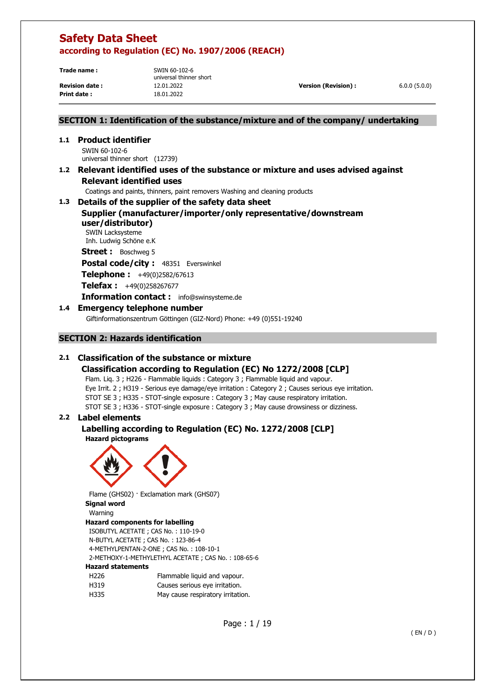**Trade name :** SWIN 60-102-6

universal thinner short **Revision date :** 12.01.2022 **Version (Revision) :** 6.0.0 (5.0.0) **Print date :** 18.01.2022

## **SECTION 1: Identification of the substance/mixture and of the company/ undertaking**

**1.1 Product identifier**  SWIN 60-102-6 universal thinner short (12739)

## **1.2 Relevant identified uses of the substance or mixture and uses advised against Relevant identified uses**

Coatings and paints, thinners, paint removers Washing and cleaning products

## **1.3 Details of the supplier of the safety data sheet Supplier (manufacturer/importer/only representative/downstream user/distributor)**

SWIN Lacksysteme Inh. Ludwig Schöne e.K

**Street :** Boschweg 5

Postal code/city : 48351 Everswinkel

**Telephone :** +49(0)2582/67613

**Telefax :** +49(0)258267677

**Information contact :** info@swinsysteme.de

## **1.4 Emergency telephone number**

Giftinformationszentrum Göttingen (GIZ-Nord) Phone: +49 (0)551-19240

## **SECTION 2: Hazards identification**

## **2.1 Classification of the substance or mixture**

## **Classification according to Regulation (EC) No 1272/2008 [CLP]**

Flam. Liq. 3 ; H226 - Flammable liquids : Category 3 ; Flammable liquid and vapour. Eye Irrit. 2 ; H319 - Serious eye damage/eye irritation : Category 2 ; Causes serious eye irritation. STOT SE 3 ; H335 - STOT-single exposure : Category 3 ; May cause respiratory irritation. STOT SE 3 ; H336 - STOT-single exposure : Category 3 ; May cause drowsiness or dizziness.

## **2.2 Label elements**

### **Labelling according to Regulation (EC) No. 1272/2008 [CLP] Hazard pictograms**



Flame (GHS02) · Exclamation mark (GHS07)

**Signal word** 

#### Warning **Hazard components for labelling**

ISOBUTYL ACETATE ; CAS No. : 110-19-0 N-BUTYL ACETATE ; CAS No. : 123-86-4 4-METHYLPENTAN-2-ONE ; CAS No. : 108-10-1 2-METHOXY-1-METHYLETHYL ACETATE ; CAS No. : 108-65-6

## **Hazard statements**

| H226 | Flammable liquid and vapour.      |
|------|-----------------------------------|
| H319 | Causes serious eye irritation.    |
| H335 | May cause respiratory irritation. |

Page : 1 / 19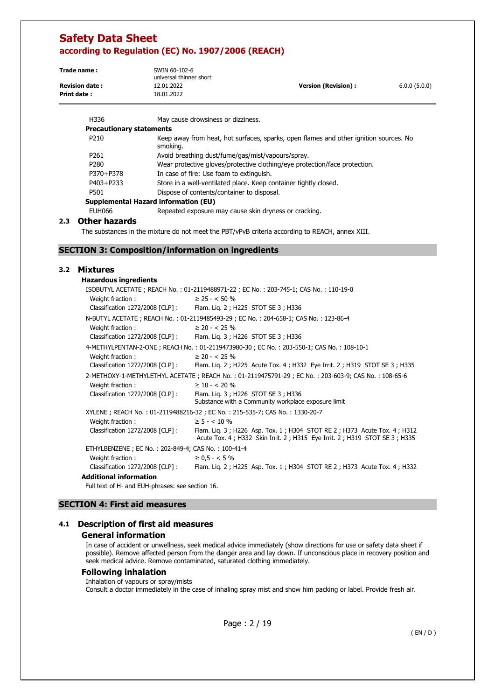| Trade name:           | SWIN 60-102-6<br>universal thinner short |                      |              |
|-----------------------|------------------------------------------|----------------------|--------------|
| <b>Revision date:</b> | 12.01.2022                               | Version (Revision) : | 6.0.0(5.0.0) |
| Print date:           | 18.01.2022                               |                      |              |

| H336                            | May cause drowsiness or dizziness.                                                                |
|---------------------------------|---------------------------------------------------------------------------------------------------|
| <b>Precautionary statements</b> |                                                                                                   |
| P <sub>210</sub>                | Keep away from heat, hot surfaces, sparks, open flames and other ignition sources. No<br>smoking. |
| P <sub>261</sub>                | Avoid breathing dust/fume/gas/mist/vapours/spray.                                                 |
| P <sub>280</sub>                | Wear protective gloves/protective clothing/eye protection/face protection.                        |
| P370+P378                       | In case of fire: Use foam to extinguish.                                                          |
| P403+P233                       | Store in a well-ventilated place. Keep container tightly closed.                                  |
| P501                            | Dispose of contents/container to disposal.                                                        |
|                                 | <b>Supplemental Hazard information (EU)</b>                                                       |
| <b>EUH066</b>                   | Repeated exposure may cause skin dryness or cracking.                                             |

### **2.3 Other hazards**

The substances in the mixture do not meet the PBT/vPvB criteria according to REACH, annex XIII.

## **SECTION 3: Composition/information on ingredients**

## **3.2 Mixtures**

|  | Hazardous ingredients |
|--|-----------------------|
|--|-----------------------|

|                                                    | ISOBUTYL ACETATE; REACH No.: 01-2119488971-22; EC No.: 203-745-1; CAS No.: 110-19-0                                                                  |
|----------------------------------------------------|------------------------------------------------------------------------------------------------------------------------------------------------------|
| Weight fraction:                                   | $\geq$ 25 - < 50 %                                                                                                                                   |
|                                                    | Classification 1272/2008 [CLP] : Flam. Lig. 2 ; H225 STOT SE 3 ; H336                                                                                |
|                                                    | N-BUTYL ACETATE; REACH No.: 01-2119485493-29; EC No.: 204-658-1; CAS No.: 123-86-4                                                                   |
| Weight fraction:                                   | $\geq$ 20 - < 25 %                                                                                                                                   |
|                                                    | Classification 1272/2008 [CLP] : Flam. Lig. 3 ; H226 STOT SE 3 ; H336                                                                                |
|                                                    | 4-METHYLPENTAN-2-ONE; REACH No.: 01-2119473980-30; EC No.: 203-550-1; CAS No.: 108-10-1                                                              |
| Weight fraction:                                   | $\geq$ 20 - < 25 %                                                                                                                                   |
| Classification $1272/2008$ [CLP] :                 | Flam. Lig. 2; H225 Acute Tox. 4; H332 Eye Irrit. 2; H319 STOT SE 3; H335                                                                             |
|                                                    | 2-METHOXY-1-METHYLETHYL ACETATE; REACH No.: 01-2119475791-29; EC No.: 203-603-9; CAS No.: 108-65-6                                                   |
| Weight fraction:                                   | $\geq$ 10 - < 20 %                                                                                                                                   |
| Classification 1272/2008 [CLP] :                   | Flam. Lig. 3 ; H226 STOT SE 3 ; H336<br>Substance with a Community workplace exposure limit                                                          |
|                                                    | XYLENE; REACH No.: 01-2119488216-32; EC No.: 215-535-7; CAS No.: 1330-20-7                                                                           |
| Weight fraction:                                   | $\geq 5 - < 10 \%$                                                                                                                                   |
| Classification 1272/2008 [CLP]:                    | Flam. Lig. 3; H226 Asp. Tox. 1; H304 STOT RE 2; H373 Acute Tox. 4; H312<br>Acute Tox. 4; H332 Skin Irrit. 2; H315 Eye Irrit. 2; H319 STOT SE 3; H335 |
| ETHYLBENZENE; EC No.: 202-849-4; CAS No.: 100-41-4 |                                                                                                                                                      |
| Weight fraction:                                   | $\geq 0.5 - < 5\%$                                                                                                                                   |
| Classification $1272/2008$ [CLP] :                 | Flam. Lig. 2; H225 Asp. Tox. 1; H304 STOT RE 2; H373 Acute Tox. 4; H332                                                                              |
| Additional information                             |                                                                                                                                                      |

Full text of H- and EUH-phrases: see section 16.

## **SECTION 4: First aid measures**

## **4.1 Description of first aid measures**

#### **General information**

In case of accident or unwellness, seek medical advice immediately (show directions for use or safety data sheet if possible). Remove affected person from the danger area and lay down. If unconscious place in recovery position and seek medical advice. Remove contaminated, saturated clothing immediately.

#### **Following inhalation**

Inhalation of vapours or spray/mists Consult a doctor immediately in the case of inhaling spray mist and show him packing or label. Provide fresh air.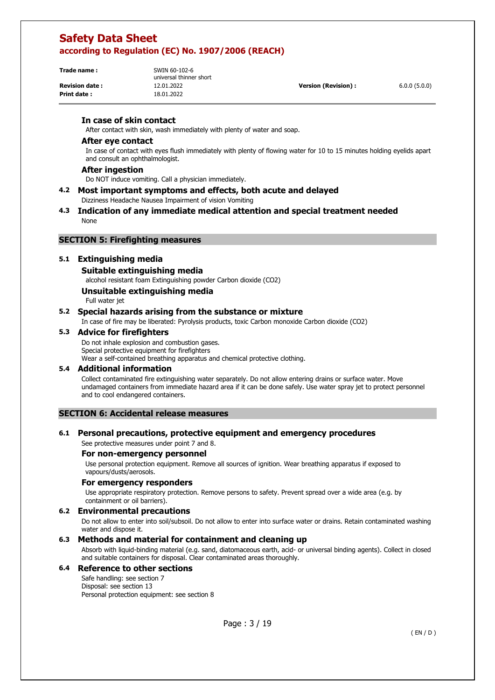| Trade name: |  |
|-------------|--|
|             |  |
|             |  |

**Print date :** 18.01.2022

**Trade name :** SWIN 60-102-6 universal thinner short

**Revision date :** 12.01.2022 **Version (Revision) :** 6.0.0 (5.0.0)

## **In case of skin contact**

After contact with skin, wash immediately with plenty of water and soap.

#### **After eye contact**

In case of contact with eyes flush immediately with plenty of flowing water for 10 to 15 minutes holding eyelids apart and consult an ophthalmologist.

#### **After ingestion**

Do NOT induce vomiting. Call a physician immediately.

- **4.2 Most important symptoms and effects, both acute and delayed**  Dizziness Headache Nausea Impairment of vision Vomiting
- **4.3 Indication of any immediate medical attention and special treatment needed**  None

### **SECTION 5: Firefighting measures**

### **5.1 Extinguishing media**

#### **Suitable extinguishing media**

alcohol resistant foam Extinguishing powder Carbon dioxide (CO2)

### **Unsuitable extinguishing media**

Full water jet

## **5.2 Special hazards arising from the substance or mixture**

In case of fire may be liberated: Pyrolysis products, toxic Carbon monoxide Carbon dioxide (CO2)

#### **5.3 Advice for firefighters**

Do not inhale explosion and combustion gases. Special protective equipment for firefighters Wear a self-contained breathing apparatus and chemical protective clothing.

#### **5.4 Additional information**

Collect contaminated fire extinguishing water separately. Do not allow entering drains or surface water. Move undamaged containers from immediate hazard area if it can be done safely. Use water spray jet to protect personnel and to cool endangered containers.

### **SECTION 6: Accidental release measures**

#### **6.1 Personal precautions, protective equipment and emergency procedures**

See protective measures under point 7 and 8.

#### **For non-emergency personnel**

Use personal protection equipment. Remove all sources of ignition. Wear breathing apparatus if exposed to vapours/dusts/aerosols.

#### **For emergency responders**

Use appropriate respiratory protection. Remove persons to safety. Prevent spread over a wide area (e.g. by containment or oil barriers).

#### **6.2 Environmental precautions**

Do not allow to enter into soil/subsoil. Do not allow to enter into surface water or drains. Retain contaminated washing water and dispose it.

### **6.3 Methods and material for containment and cleaning up**

Absorb with liquid-binding material (e.g. sand, diatomaceous earth, acid- or universal binding agents). Collect in closed and suitable containers for disposal. Clear contaminated areas thoroughly.

## **6.4 Reference to other sections**

Safe handling: see section 7 Disposal: see section 13 Personal protection equipment: see section 8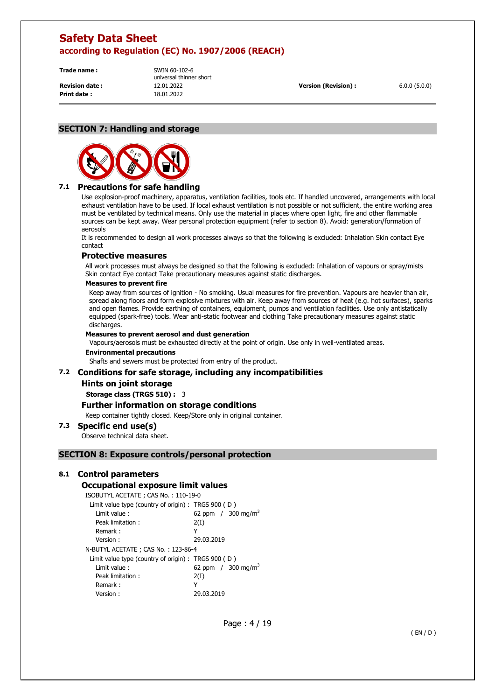**Print date :** 18.01.2022

**Trade name :** SWIN 60-102-6 universal thinner short **Revision date :** 12.01.2022 **Version (Revision) :** 6.0.0 (5.0.0)

### **SECTION 7: Handling and storage**



## **7.1 Precautions for safe handling**

Use explosion-proof machinery, apparatus, ventilation facilities, tools etc. If handled uncovered, arrangements with local exhaust ventilation have to be used. If local exhaust ventilation is not possible or not sufficient, the entire working area must be ventilated by technical means. Only use the material in places where open light, fire and other flammable sources can be kept away. Wear personal protection equipment (refer to section 8). Avoid: generation/formation of aerosols

It is recommended to design all work processes always so that the following is excluded: Inhalation Skin contact Eye contact

### **Protective measures**

All work processes must always be designed so that the following is excluded: Inhalation of vapours or spray/mists Skin contact Eye contact Take precautionary measures against static discharges.

#### **Measures to prevent fire**

Keep away from sources of ignition - No smoking. Usual measures for fire prevention. Vapours are heavier than air, spread along floors and form explosive mixtures with air. Keep away from sources of heat (e.g. hot surfaces), sparks and open flames. Provide earthing of containers, equipment, pumps and ventilation facilities. Use only antistatically equipped (spark-free) tools. Wear anti-static footwear and clothing Take precautionary measures against static discharges.

#### **Measures to prevent aerosol and dust generation**

Vapours/aerosols must be exhausted directly at the point of origin. Use only in well-ventilated areas.

### **Environmental precautions**

Shafts and sewers must be protected from entry of the product.

## **7.2 Conditions for safe storage, including any incompatibilities**

#### **Hints on joint storage**

**Storage class (TRGS 510) :** 3

#### **Further information on storage conditions**

Keep container tightly closed. Keep/Store only in original container.

#### **7.3 Specific end use(s)**

Observe technical data sheet.

#### **SECTION 8: Exposure controls/personal protection**

#### **8.1 Control parameters**

## **Occupational exposure limit values**

ISOBUTYL ACETATE ; CAS No. : 110-19-0

| Limit value type (country of origin) : TRGS 900 (D) |                               |
|-----------------------------------------------------|-------------------------------|
| Limit value:                                        | 62 ppm / $300 \text{ mg/m}^3$ |
| Peak limitation:                                    | 2(I)                          |
| Remark:                                             | Y                             |
| Version:                                            | 29.03.2019                    |
| N-BUTYL ACETATE ; CAS No. : 123-86-4                |                               |
| Limit value type (country of origin) : TRGS 900 (D) |                               |
| Limit value:                                        | 62 ppm / $300 \text{ mg/m}^3$ |
| Peak limitation:                                    | 2(I)                          |
| Remark:                                             | Y                             |
| Version :                                           | 29.03.2019                    |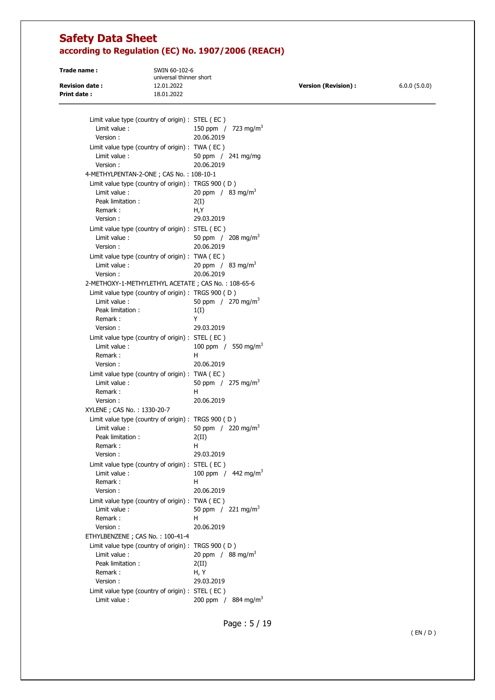| Trade name:           | SWIN 60-102-6<br>universal thinner short |                      |              |
|-----------------------|------------------------------------------|----------------------|--------------|
| <b>Revision date:</b> | 12.01.2022                               | Version (Revision) : | 6.0.0(5.0.0) |
| Print date:           | 18.01.2022                               |                      |              |

| Limit value type (country of origin) : STEL (EC)    |                                  |
|-----------------------------------------------------|----------------------------------|
| Limit value:                                        | 150 ppm / 723 mg/m <sup>3</sup>  |
| Version:                                            | 20.06.2019                       |
| Limit value type (country of origin) : TWA (EC)     |                                  |
| Limit value:                                        | 50 ppm / 241 mg/mg               |
| Version:                                            | 20.06.2019                       |
| 4-METHYLPENTAN-2-ONE; CAS No.: 108-10-1             |                                  |
| Limit value type (country of origin) : TRGS 900 (D) |                                  |
| Limit value:                                        | 20 ppm / 83 mg/m <sup>3</sup>    |
| Peak limitation:                                    | 2(I)                             |
| Remark:                                             | H,Y                              |
| Version:                                            | 29.03.2019                       |
| Limit value type (country of origin) : STEL (EC)    |                                  |
| Limit value:                                        | 50 ppm $/$ 208 mg/m <sup>3</sup> |
| Version:                                            | 20.06.2019                       |
| Limit value type (country of origin) : TWA (EC)     |                                  |
| Limit value:                                        | 20 ppm / $83 \text{ mg/m}^3$     |
| Version:                                            | 20.06.2019                       |
| 2-METHOXY-1-METHYLETHYL ACETATE; CAS No.: 108-65-6  |                                  |
| Limit value type (country of origin) : TRGS 900 (D) |                                  |
| Limit value:                                        | 50 ppm / 270 mg/m <sup>3</sup>   |
| Peak limitation:                                    | 1(I)                             |
| Remark:                                             | Y                                |
| Version:                                            | 29.03.2019                       |
| Limit value type (country of origin) : STEL (EC)    |                                  |
| Limit value:                                        | 100 ppm / 550 mg/m <sup>3</sup>  |
| Remark:                                             | н                                |
| Version:                                            | 20.06.2019                       |
|                                                     |                                  |
| Limit value type (country of origin) : TWA (EC)     |                                  |
| Limit value:                                        | 50 ppm / 275 mg/m <sup>3</sup>   |
| Remark:<br>Version:                                 | н<br>20.06.2019                  |
|                                                     |                                  |
| XYLENE ; CAS No.: 1330-20-7                         |                                  |
| Limit value type (country of origin) : TRGS 900 (D) |                                  |
| Limit value:                                        | 50 ppm / 220 mg/m <sup>3</sup>   |
| Peak limitation:                                    | 2(II)                            |
| Remark:                                             | н<br>29.03.2019                  |
| Version:                                            |                                  |
| Limit value type (country of origin) : STEL (EC)    |                                  |
| Limit value:                                        | 100 ppm / $442 \text{ mg/m}^3$   |
| Remark:                                             | н<br>20.06.2019                  |
| Version :                                           |                                  |
| Limit value type (country of origin) : TWA (EC)     |                                  |
| Limit value:                                        | 50 ppm / 221 mg/m <sup>3</sup>   |
| Remark:                                             | н                                |
| Version:                                            | 20.06.2019                       |
| ETHYLBENZENE; CAS No.: 100-41-4                     |                                  |
| Limit value type (country of origin) : TRGS 900 (D) |                                  |
| Limit value:                                        | 20 ppm / $88 \text{ mg/m}^3$     |
| Peak limitation:                                    | 2(II)                            |
| Remark:                                             | H, Y                             |
| Version:                                            | 29.03.2019                       |
| Limit value type (country of origin) : STEL (EC)    |                                  |
| Limit value :                                       | 200 ppm / 884 mg/m <sup>3</sup>  |

Page : 5 / 19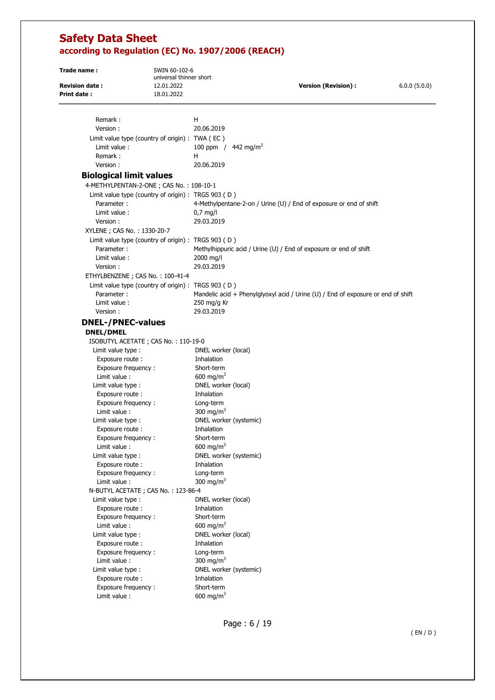| Trade name:                                 | SWIN 60-102-6                                       |                                     |                                                                                  |              |
|---------------------------------------------|-----------------------------------------------------|-------------------------------------|----------------------------------------------------------------------------------|--------------|
|                                             | universal thinner short                             |                                     |                                                                                  |              |
| <b>Revision date:</b><br><b>Print date:</b> | 12.01.2022<br>18.01.2022                            |                                     | <b>Version (Revision):</b>                                                       | 6.0.0(5.0.0) |
|                                             |                                                     |                                     |                                                                                  |              |
| Remark:                                     |                                                     | н                                   |                                                                                  |              |
| Version:                                    |                                                     | 20.06.2019                          |                                                                                  |              |
|                                             | Limit value type (country of origin) : TWA (EC)     |                                     |                                                                                  |              |
| Limit value:                                |                                                     |                                     | 100 ppm / $442 \text{ mg/m}^3$                                                   |              |
| Remark:                                     |                                                     | H                                   |                                                                                  |              |
| Version:                                    |                                                     | 20.06.2019                          |                                                                                  |              |
| <b>Biological limit values</b>              |                                                     |                                     |                                                                                  |              |
|                                             | 4-METHYLPENTAN-2-ONE; CAS No.: 108-10-1             |                                     |                                                                                  |              |
|                                             | Limit value type (country of origin) : TRGS 903 (D) |                                     |                                                                                  |              |
| Parameter:                                  |                                                     |                                     | 4-Methylpentane-2-on / Urine (U) / End of exposure or end of shift               |              |
| Limit value:                                |                                                     | $0.7$ mg/l                          |                                                                                  |              |
| Version:                                    |                                                     | 29.03.2019                          |                                                                                  |              |
| XYLENE ; CAS No. : 1330-20-7                |                                                     |                                     |                                                                                  |              |
|                                             | Limit value type (country of origin) : TRGS 903 (D) |                                     |                                                                                  |              |
| Parameter:                                  |                                                     |                                     | Methylhippuric acid / Urine (U) / End of exposure or end of shift                |              |
| Limit value:                                |                                                     | 2000 mg/l                           |                                                                                  |              |
| Version:                                    |                                                     | 29.03.2019                          |                                                                                  |              |
|                                             | ETHYLBENZENE; CAS No.: 100-41-4                     |                                     |                                                                                  |              |
|                                             | Limit value type (country of origin) : TRGS 903 (D) |                                     |                                                                                  |              |
| Parameter:                                  |                                                     |                                     | Mandelic acid + Phenylglyoxyl acid / Urine (U) / End of exposure or end of shift |              |
| Limit value:                                |                                                     | 250 mg/g Kr                         |                                                                                  |              |
| Version:                                    |                                                     | 29.03.2019                          |                                                                                  |              |
| <b>DNEL-/PNEC-values</b>                    |                                                     |                                     |                                                                                  |              |
|                                             |                                                     |                                     |                                                                                  |              |
| <b>DNEL/DMEL</b>                            |                                                     |                                     |                                                                                  |              |
|                                             | ISOBUTYL ACETATE ; CAS No.: 110-19-0                |                                     |                                                                                  |              |
| Limit value type :<br>Exposure route:       |                                                     | DNEL worker (local)<br>Inhalation   |                                                                                  |              |
| Exposure frequency:                         |                                                     | Short-term                          |                                                                                  |              |
| Limit value :                               |                                                     | 600 mg/m <sup>3</sup>               |                                                                                  |              |
| Limit value type :                          |                                                     | DNEL worker (local)                 |                                                                                  |              |
| Exposure route:                             |                                                     | Inhalation                          |                                                                                  |              |
| Exposure frequency:                         |                                                     | Long-term                           |                                                                                  |              |
| Limit value:                                |                                                     | 300 mg/m <sup>3</sup>               |                                                                                  |              |
| Limit value type :                          |                                                     |                                     | DNEL worker (systemic)                                                           |              |
| Exposure route:                             |                                                     | Inhalation                          |                                                                                  |              |
| Exposure frequency:                         |                                                     | Short-term                          |                                                                                  |              |
| Limit value:                                |                                                     | 600 mg/m <sup>3</sup>               |                                                                                  |              |
| Limit value type :                          |                                                     |                                     | DNEL worker (systemic)                                                           |              |
| Exposure route :                            |                                                     | Inhalation                          |                                                                                  |              |
| Exposure frequency:                         |                                                     | Long-term                           |                                                                                  |              |
| Limit value:                                |                                                     | 300 mg/m <sup>3</sup>               |                                                                                  |              |
|                                             | N-BUTYL ACETATE ; CAS No.: 123-86-4                 |                                     |                                                                                  |              |
| Limit value type :                          |                                                     | DNEL worker (local)                 |                                                                                  |              |
| Exposure route :                            |                                                     | Inhalation                          |                                                                                  |              |
| Exposure frequency:                         |                                                     | Short-term                          |                                                                                  |              |
| Limit value :                               |                                                     | 600 mg/m <sup>3</sup>               |                                                                                  |              |
| Limit value type :                          |                                                     | DNEL worker (local)                 |                                                                                  |              |
| Exposure route :                            |                                                     | Inhalation                          |                                                                                  |              |
| Exposure frequency:                         |                                                     | Long-term                           |                                                                                  |              |
| Limit value :                               |                                                     | 300 mg/m <sup>3</sup>               |                                                                                  |              |
| Limit value type :                          |                                                     |                                     | DNEL worker (systemic)                                                           |              |
| Exposure route :                            |                                                     | Inhalation                          |                                                                                  |              |
| Exposure frequency:                         |                                                     | Short-term<br>600 mg/m <sup>3</sup> |                                                                                  |              |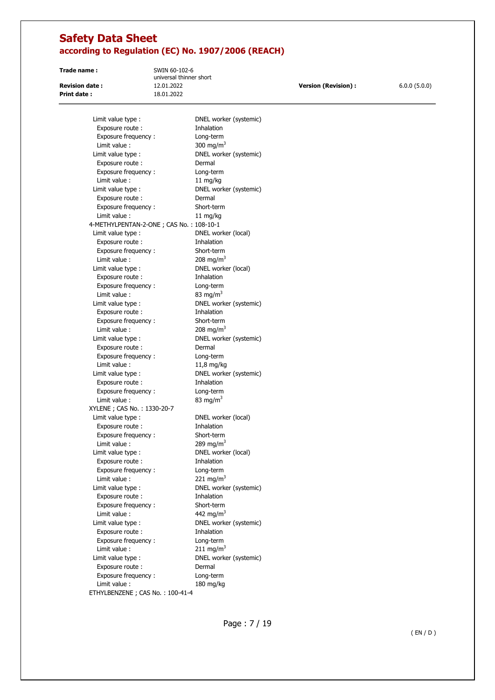**Print date :** 18.01.2022

**Trade name :** SWIN 60-102-6 universal thinner short

**Revision date :** 12.01.2022 **Version (Revision) :** 6.0.0 (5.0.0)

| Limit value type :                      | DNEL worker (systemic) |
|-----------------------------------------|------------------------|
| Exposure route :                        | Inhalation             |
| Exposure frequency:                     | Long-term              |
| Limit value :                           | 300 mg/m <sup>3</sup>  |
| Limit value type :                      | DNEL worker (systemic) |
| Exposure route:                         | Dermal                 |
| Exposure frequency:                     | Long-term              |
| Limit value :                           | 11 mg/kg               |
| Limit value type :                      | DNEL worker (systemic) |
| Exposure route:                         | Dermal                 |
| Exposure frequency:                     | Short-term             |
| Limit value:                            | 11 mg/kg               |
| 4-METHYLPENTAN-2-ONE; CAS No.: 108-10-1 |                        |
| Limit value type :                      | DNEL worker (local)    |
| Exposure route:                         | Inhalation             |
| Exposure frequency:                     | Short-term             |
| Limit value :                           | 208 mg/m <sup>3</sup>  |
| Limit value type :                      | DNEL worker (local)    |
| Exposure route :                        | Inhalation             |
| Exposure frequency:                     | Long-term              |
| Limit value:                            | 83 mg/m <sup>3</sup>   |
| Limit value type :                      | DNEL worker (systemic) |
| Exposure route:                         | Inhalation             |
| Exposure frequency:                     | Short-term             |
| Limit value :                           | 208 mg/m <sup>3</sup>  |
| Limit value type :                      | DNEL worker (systemic) |
| Exposure route:                         | Dermal                 |
| Exposure frequency:                     | Long-term              |
| Limit value:                            | 11,8 mg/kg             |
| Limit value type :                      | DNEL worker (systemic) |
| Exposure route:                         | Inhalation             |
| Exposure frequency:                     | Long-term              |
| Limit value :                           | 83 mg/m <sup>3</sup>   |
| XYLENE ; CAS No.: 1330-20-7             |                        |
| Limit value type :                      | DNEL worker (local)    |
| Exposure route :                        | Inhalation             |
| Exposure frequency:                     | Short-term             |
| Limit value:                            | 289 mg/m <sup>3</sup>  |
| Limit value type :                      | DNEL worker (local)    |
| Exposure route:                         | Inhalation             |
| Exposure frequency:                     | Long-term              |
| Limit value:                            | 221 mg/m <sup>3</sup>  |
| Limit value type :                      | DNEL worker (systemic) |
| Exposure route :                        | Inhalation             |
| Exposure frequency:                     | Short-term             |
| Limit value :                           | 442 mg/m <sup>3</sup>  |
| Limit value type :                      | DNEL worker (systemic) |
| Exposure route :                        | Inhalation             |
| Exposure frequency:                     | Long-term              |
| Limit value :                           | 211 mg/m <sup>3</sup>  |
| Limit value type :                      | DNEL worker (systemic) |
| Exposure route :                        | Dermal                 |
| Exposure frequency:                     | Long-term              |
| Limit value :                           | 180 mg/kg              |
| ETHYLBENZENE; CAS No.: 100-41-4         |                        |
|                                         |                        |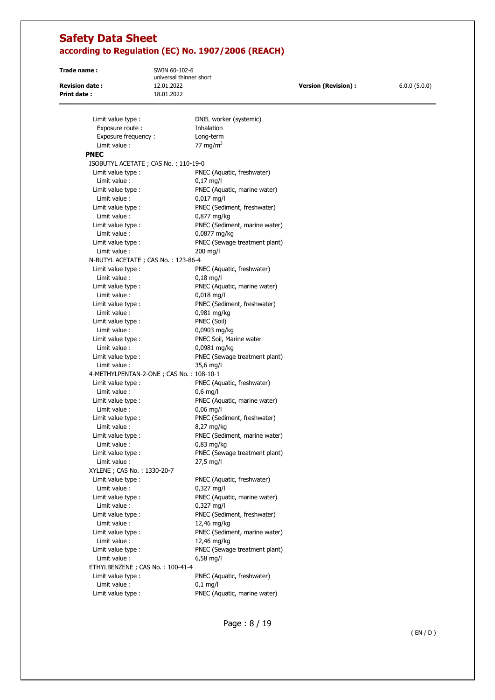**Print date :** 18.01.2022

**Trade name :** SWIN 60-102-6 universal thinner short

**Revision date :** 12.01.2022 **Version (Revision) :** 6.0.0 (5.0.0)

| Limit value type :                      | DNEL worker (systemic)                     |
|-----------------------------------------|--------------------------------------------|
| Exposure route:                         | Inhalation                                 |
| Exposure frequency:                     | Long-term                                  |
| Limit value:                            | 77 mg/m <sup>3</sup>                       |
| <b>PNEC</b>                             |                                            |
| ISOBUTYL ACETATE; CAS No.: 110-19-0     |                                            |
| Limit value type :                      | PNEC (Aquatic, freshwater)                 |
| Limit value:                            | $0,17$ mg/l                                |
| Limit value type :                      | PNEC (Aquatic, marine water)               |
| Limit value:                            | $0,017$ mg/l                               |
| Limit value type :                      | PNEC (Sediment, freshwater)                |
| Limit value:                            | $0,877$ mg/kg                              |
| Limit value type :                      | PNEC (Sediment, marine water)              |
| Limit value :                           | 0,0877 mg/kg                               |
| Limit value type :                      | PNEC (Sewage treatment plant)              |
| Limit value:                            | $200$ mg/l                                 |
| N-BUTYL ACETATE ; CAS No.: 123-86-4     |                                            |
| Limit value type :                      | PNEC (Aquatic, freshwater)                 |
| Limit value:                            | $0,18$ mg/l                                |
| Limit value type :                      | PNEC (Aquatic, marine water)               |
| Limit value:                            | $0,018$ mg/l                               |
| Limit value type :                      | PNEC (Sediment, freshwater)                |
| Limit value:                            | 0,981 mg/kg                                |
| Limit value type :                      | PNEC (Soil)                                |
| Limit value:                            | 0,0903 mg/kg                               |
| Limit value type :                      | PNEC Soil, Marine water                    |
| Limit value:                            | 0,0981 mg/kg                               |
| Limit value type :                      | PNEC (Sewage treatment plant)              |
| Limit value:                            | $35,6$ mg/l                                |
| 4-METHYLPENTAN-2-ONE; CAS No.: 108-10-1 |                                            |
| Limit value type :                      | PNEC (Aquatic, freshwater)                 |
| Limit value:                            | $0,6$ mg/l                                 |
| Limit value type :                      | PNEC (Aquatic, marine water)               |
| Limit value:                            | $0,06$ mg/l                                |
| Limit value type :                      | PNEC (Sediment, freshwater)                |
| Limit value:                            | 8,27 mg/kg                                 |
| Limit value type :                      | PNEC (Sediment, marine water)              |
| Limit value:                            | $0,83$ mg/kg                               |
| Limit value type :                      | PNEC (Sewage treatment plant)              |
| Limit value:                            | $27.5$ mg/l                                |
|                                         |                                            |
| XYLENE; CAS No.: 1330-20-7              |                                            |
| Limit value type :                      | PNEC (Aquatic, freshwater)                 |
| Limit value :                           | $0,327$ mg/l                               |
| Limit value type :                      | PNEC (Aquatic, marine water)               |
| Limit value:                            | $0,327$ mg/l                               |
| Limit value type :                      | PNEC (Sediment, freshwater)                |
| Limit value:                            | 12,46 mg/kg                                |
| Limit value type :                      | PNEC (Sediment, marine water)              |
| Limit value:                            | 12,46 mg/kg                                |
| Limit value type :                      | PNEC (Sewage treatment plant)              |
| Limit value:                            | $6,58 \text{ mg/l}$                        |
| ETHYLBENZENE; CAS No.: 100-41-4         |                                            |
|                                         | PNEC (Aquatic, freshwater)                 |
| Limit value type :                      |                                            |
| Limit value :<br>Limit value type :     | $0,1$ mg/l<br>PNEC (Aquatic, marine water) |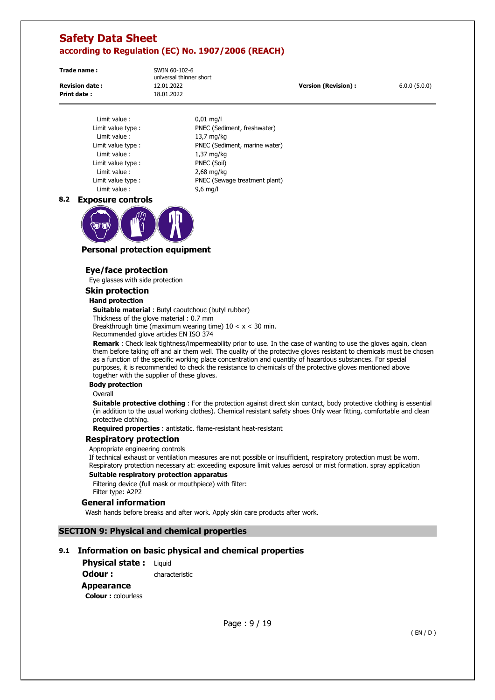**Print date :** 18.01.2022

**Trade name :** SWIN 60-102-6 universal thinner short

**Revision date :** 12.01.2022 **Version (Revision) :** 6.0.0 (5.0.0)

Limit value : 0,01 mg/l Limit value type : PNEC (Sediment, freshwater) Limit value : 13,7 mg/kg Limit value type : PNEC (Sediment, marine water) Limit value : 1,37 mg/kg Limit value type : PNEC (Soil) Limit value : 2,68 mg/kg Limit value type : PNEC (Sewage treatment plant) Limit value : 9,6 mg/l

#### **8.2 Exposure controls**



## **Personal protection equipment**

## **Eye/face protection**

Eye glasses with side protection

**Skin protection** 

#### **Hand protection**

**Suitable material** : Butyl caoutchouc (butyl rubber) Thickness of the glove material : 0.7 mm Breakthrough time (maximum wearing time)  $10 < x < 30$  min. Recommended glove articles EN ISO 374

**Remark** : Check leak tightness/impermeability prior to use. In the case of wanting to use the gloves again, clean them before taking off and air them well. The quality of the protective gloves resistant to chemicals must be chosen as a function of the specific working place concentration and quantity of hazardous substances. For special purposes, it is recommended to check the resistance to chemicals of the protective gloves mentioned above together with the supplier of these gloves.

#### **Body protection**

**Overall** 

**Suitable protective clothing** : For the protection against direct skin contact, body protective clothing is essential (in addition to the usual working clothes). Chemical resistant safety shoes Only wear fitting, comfortable and clean protective clothing.

**Required properties** : antistatic. flame-resistant heat-resistant

#### **Respiratory protection**

Appropriate engineering controls

If technical exhaust or ventilation measures are not possible or insufficient, respiratory protection must be worn. Respiratory protection necessary at: exceeding exposure limit values aerosol or mist formation. spray application

#### **Suitable respiratory protection apparatus**

Filtering device (full mask or mouthpiece) with filter: Filter type: A2P2

#### **General information**

Wash hands before breaks and after work. Apply skin care products after work.

## **SECTION 9: Physical and chemical properties**

## **9.1 Information on basic physical and chemical properties**

**Physical state : Liquid** 

**Odour :** characteristic

### **Appearance**

**Colour :** colourless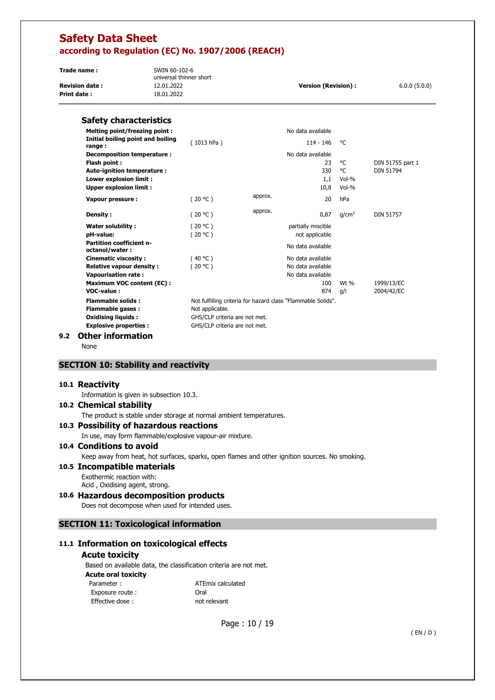| Trade name:           | SWIN 60-102-6<br>universal thinner short |                            |              |
|-----------------------|------------------------------------------|----------------------------|--------------|
| <b>Revision date:</b> | 12.01.2022                               | <b>Version (Revision):</b> | 6.0.0(5.0.0) |
| Print date:           | 18.01.2022                               |                            |              |

### **Safety characteristics**

| <b>Melting point/freezing point:</b>              |                                                              |         | No data available  |                   |                  |
|---------------------------------------------------|--------------------------------------------------------------|---------|--------------------|-------------------|------------------|
| Initial boiling point and boiling<br>range:       | (1013 hPa)                                                   |         | $114 - 146$        | °€                |                  |
| Decomposition temperature :                       |                                                              |         | No data available  |                   |                  |
| Flash point :                                     |                                                              |         | 23                 | °C                | DIN 51755 part 1 |
| Auto-ignition temperature :                       |                                                              |         | 330                | °C                | <b>DIN 51794</b> |
| Lower explosion limit :                           |                                                              |         | 1,1                | Vol-%             |                  |
| <b>Upper explosion limit:</b>                     |                                                              |         | 10,8               | Vol-%             |                  |
| Vapour pressure :                                 | (20 °C)                                                      | approx. | 20                 | hPa               |                  |
| Density :                                         | (20 °C)                                                      | approx. | 0,87               | q/cm <sup>3</sup> | <b>DIN 51757</b> |
| Water solubility:                                 | (20 °C)                                                      |         | partially miscible |                   |                  |
| pH-value:                                         | (20 °C)                                                      |         | not applicable     |                   |                  |
| <b>Partition coefficient n-</b><br>octanol/water: |                                                              |         | No data available  |                   |                  |
| <b>Cinematic viscosity:</b>                       | (40 °C)                                                      |         | No data available  |                   |                  |
| <b>Relative vapour density:</b>                   | (20 °C)                                                      |         | No data available  |                   |                  |
| <b>Vapourisation rate:</b>                        |                                                              |         | No data available  |                   |                  |
| <b>Maximum VOC content (EC):</b>                  |                                                              |         | 100                | Wt %              | 1999/13/EC       |
| VOC-value:                                        |                                                              |         | 874                | g/l               | 2004/42/EC       |
| <b>Flammable solids:</b>                          | Not fulfilling criteria for hazard class "Flammable Solids". |         |                    |                   |                  |
| <b>Flammable gases:</b>                           | Not applicable.                                              |         |                    |                   |                  |
| <b>Oxidising liquids:</b>                         | GHS/CLP criteria are not met.                                |         |                    |                   |                  |
| <b>Explosive properties:</b>                      | GHS/CLP criteria are not met.                                |         |                    |                   |                  |
|                                                   |                                                              |         |                    |                   |                  |

#### **9.2 Other information**

None

## **SECTION 10: Stability and reactivity**

#### **10.1 Reactivity**

Information is given in subsection 10.3.

#### **10.2 Chemical stability**

The product is stable under storage at normal ambient temperatures.

### **10.3 Possibility of hazardous reactions**

In use, may form flammable/explosive vapour-air mixture.

## **10.4 Conditions to avoid**

Keep away from heat, hot surfaces, sparks, open flames and other ignition sources. No smoking.

### **10.5 Incompatible materials**

Exothermic reaction with: Acid , Oxidising agent, strong.

## **10.6 Hazardous decomposition products**

Does not decompose when used for intended uses.

## **SECTION 11: Toxicological information**

### **11.1 Information on toxicological effects**

#### **Acute toxicity**

Based on available data, the classification criteria are not met. **Acute oral toxicity**  Parameter : <br>
ATEmix calculated Exposure route : The Coral Effective dose : not relevant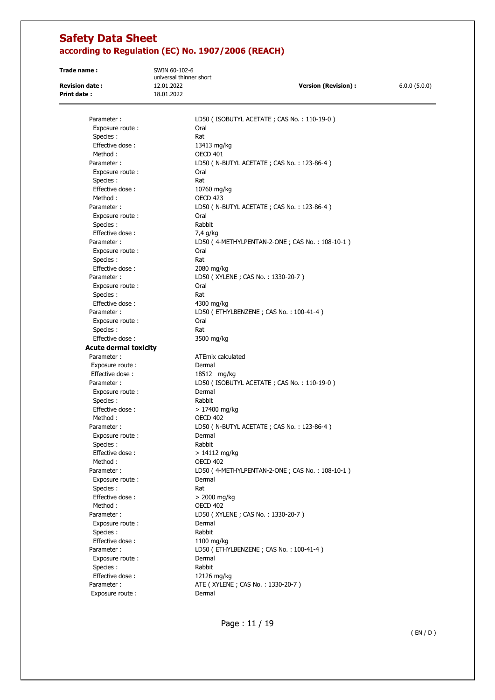**Print date :** 18.01.2022

**Trade name :** SWIN 60-102-6 universal thinner short

**Revision date :** 12.01.2022 **Version (Revision) :** 6.0.0 (5.0.0)

Parameter : LD50 ( ISOBUTYL ACETATE ; CAS No. : 110-19-0 ) Exposure route : Call Coral Species : Rat Effective dose : 13413 mg/kg Method : 0ECD 401 Exposure route : Call Coral Species : Rat Effective dose : 10760 mg/kg Method : OECD 423 Exposure route : Call Coral Species : Rabbit Effective dose : 7,4 g/kg Exposure route : Oral Species : Rat Effective dose : 2080 mg/kg Parameter : LD50 (XYLENE ; CAS No. : 1330-20-7 ) Exposure route : Oral Species : Rat Effective dose : 4300 mg/kg Exposure route : Oral Species : Rat Effective dose : 3500 mg/kg **Acute dermal toxicity**  Parameter : ATEmix calculated Exposure route : Dermal Effective dose : 18512 mg/kg Exposure route : Dermal Species :<br>Effective dose : Rabbit<br>
> 1740 Method : OECD 402 Exposure route : Dermal Species : Rabbit Effective dose :  $> 14112$  mg/kg Method : OECD 402 Exposure route : Dermal Species : Rat  $Effective dose :$   $> 2000 mg/kg$ Method : OECD 402 Parameter : LD50 ( XYLENE ; CAS No. : 1330-20-7 ) Exposure route : Dermal Species : Rabbit Effective dose : 1100 mg/kg Exposure route : Dermal Species : Rabbit Effective dose : 12126 mg/kg Parameter : <br>ATE ( XYLENE ; CAS No. : 1330-20-7 ) Exposure route : Dermal

Parameter : LD50 ( N-BUTYL ACETATE ; CAS No. : 123-86-4 ) Parameter : LD50 ( N-BUTYL ACETATE ; CAS No. : 123-86-4 ) Parameter : LD50 (4-METHYLPENTAN-2-ONE ; CAS No. : 108-10-1) Parameter : LD50 (ETHYLBENZENE ; CAS No. : 100-41-4) Parameter : LD50 ( ISOBUTYL ACETATE ; CAS No. : 110-19-0 )  $> 17400$  mg/kg Parameter : LD50 ( N-BUTYL ACETATE ; CAS No. : 123-86-4 ) Parameter : LD50 (4-METHYLPENTAN-2-ONE ; CAS No. : 108-10-1) Parameter : LD50 (ETHYLBENZENE ; CAS No. : 100-41-4)

Page : 11 / 19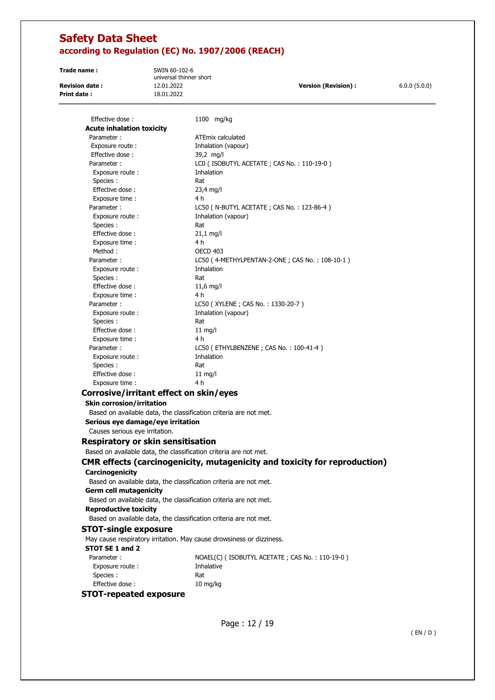**Print date :** 18.01.2022

**Trade name :** SWIN 60-102-6 universal thinner short

**Revision date :** 12.01.2022 **Version (Revision) :** 6.0.0 (5.0.0)

| Effective dose:                          | 1100 mg/kg                                                                       |
|------------------------------------------|----------------------------------------------------------------------------------|
| <b>Acute inhalation toxicity</b>         |                                                                                  |
| Parameter:                               | <b>ATEmix calculated</b>                                                         |
| Exposure route :                         | Inhalation (vapour)                                                              |
| Effective dose:                          | 39,2 mg/l                                                                        |
| Parameter:                               | LC0 (ISOBUTYL ACETATE; CAS No.: 110-19-0)                                        |
| Exposure route:                          | Inhalation                                                                       |
| Species:                                 | Rat                                                                              |
| Effective dose:                          | 23,4 mg/l<br>4 h                                                                 |
| Exposure time :<br>Parameter:            | LC50 ( N-BUTYL ACETATE ; CAS No.: 123-86-4 )                                     |
| Exposure route:                          | Inhalation (vapour)                                                              |
| Species :                                | Rat                                                                              |
| Effective dose:                          | $21,1$ mg/l                                                                      |
| Exposure time :                          | 4 h                                                                              |
| Method:                                  | OECD 403                                                                         |
| Parameter:                               | LC50 (4-METHYLPENTAN-2-ONE; CAS No.: 108-10-1)                                   |
| Exposure route:                          | Inhalation                                                                       |
| Species:                                 | Rat                                                                              |
| Effective dose:                          | $11,6$ mg/l                                                                      |
| Exposure time:                           | 4 h                                                                              |
| Parameter:                               | LC50 (XYLENE; CAS No.: 1330-20-7)                                                |
| Exposure route:                          | Inhalation (vapour)                                                              |
| Species :                                | Rat                                                                              |
| Effective dose:                          | $11$ mg/l                                                                        |
| Exposure time :                          | 4 h                                                                              |
| Parameter:                               | LC50 (ETHYLBENZENE; CAS No.: 100-41-4)                                           |
| Exposure route:                          | Inhalation                                                                       |
| Species:                                 | Rat                                                                              |
| Effective dose:                          | $11 \text{ mg/l}$<br>4 h                                                         |
| Exposure time :                          |                                                                                  |
| Corrosive/irritant effect on skin/eyes   |                                                                                  |
| <b>Skin corrosion/irritation</b>         |                                                                                  |
|                                          | Based on available data, the classification criteria are not met.                |
| Serious eye damage/eye irritation        |                                                                                  |
| Causes serious eye irritation.           |                                                                                  |
| <b>Respiratory or skin sensitisation</b> |                                                                                  |
|                                          | Based on available data, the classification criteria are not met.                |
|                                          | <b>CMR effects (carcinogenicity, mutagenicity and toxicity for reproduction)</b> |
| Carcinogenicity                          |                                                                                  |
|                                          | Based on available data, the classification criteria are not met.                |
| <b>Germ cell mutagenicity</b>            |                                                                                  |
|                                          | Based on available data, the classification criteria are not met.                |
| <b>Reproductive toxicity</b>             |                                                                                  |
|                                          | Based on available data, the classification criteria are not met.                |
| <b>STOT-single exposure</b>              |                                                                                  |
|                                          | May cause respiratory irritation. May cause drowsiness or dizziness.             |
| STOT SE 1 and 2                          |                                                                                  |
| Parameter:                               | NOAEL(C) (ISOBUTYL ACETATE; CAS No.: 110-19-0)                                   |
| Exposure route:                          | Inhalative                                                                       |
| Species :                                | Rat                                                                              |
| Effective dose:                          | $10 \; mg/kg$                                                                    |
| <b>STOT-repeated exposure</b>            |                                                                                  |
|                                          |                                                                                  |
|                                          |                                                                                  |
|                                          |                                                                                  |
|                                          | Page: 12 / 19                                                                    |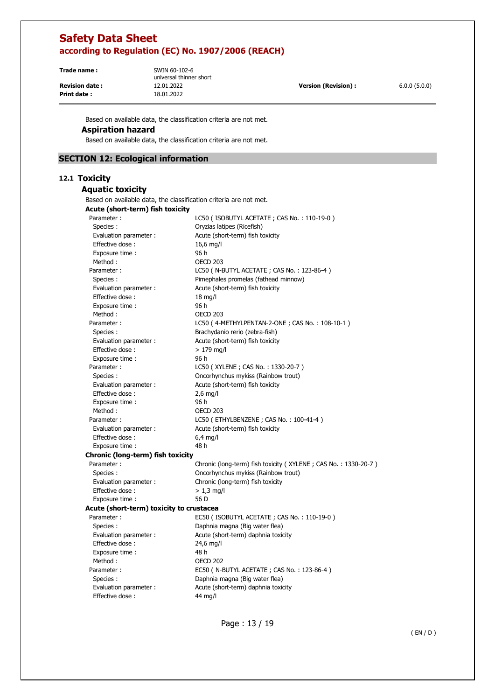**Print date :** 18.01.2022

**Trade name :** SWIN 60-102-6 universal thinner short

**Revision date :** 12.01.2022 **Version (Revision) :** 6.0.0 (5.0.0)

Based on available data, the classification criteria are not met.

## **Aspiration hazard**

Based on available data, the classification criteria are not met.

## **SECTION 12: Ecological information**

## **12.1 Toxicity**

| <b>Aquatic toxicity</b>                                           |                                                                |
|-------------------------------------------------------------------|----------------------------------------------------------------|
| Based on available data, the classification criteria are not met. |                                                                |
| Acute (short-term) fish toxicity                                  |                                                                |
| Parameter:                                                        | LC50 (ISOBUTYL ACETATE; CAS No.: 110-19-0)                     |
| Species:                                                          | Oryzias latipes (Ricefish)                                     |
| Evaluation parameter :                                            | Acute (short-term) fish toxicity                               |
| Effective dose:                                                   | 16,6 mg/l                                                      |
| Exposure time:                                                    | 96 h                                                           |
| Method:                                                           | <b>OECD 203</b>                                                |
| Parameter:                                                        | LC50 (N-BUTYL ACETATE; CAS No.: 123-86-4)                      |
| Species:                                                          | Pimephales promelas (fathead minnow)                           |
| Evaluation parameter :                                            | Acute (short-term) fish toxicity                               |
| Effective dose:                                                   | $18$ mg/l                                                      |
| Exposure time :                                                   | 96 h                                                           |
| Method:                                                           | <b>OECD 203</b>                                                |
| Parameter:                                                        | LC50 (4-METHYLPENTAN-2-ONE; CAS No.: 108-10-1)                 |
| Species :                                                         | Brachydanio rerio (zebra-fish)                                 |
| Evaluation parameter :                                            | Acute (short-term) fish toxicity                               |
| Effective dose:                                                   | $>179$ mg/l                                                    |
| Exposure time :                                                   | 96 h                                                           |
| Parameter:                                                        | LC50 (XYLENE; CAS No.: 1330-20-7)                              |
| Species :                                                         | Oncorhynchus mykiss (Rainbow trout)                            |
| Evaluation parameter :                                            | Acute (short-term) fish toxicity                               |
| Effective dose:                                                   | $2,6$ mg/l                                                     |
| Exposure time :                                                   | 96 h                                                           |
| Method:                                                           | <b>OECD 203</b>                                                |
| Parameter:                                                        | LC50 (ETHYLBENZENE; CAS No.: 100-41-4)                         |
| Evaluation parameter :                                            | Acute (short-term) fish toxicity                               |
| Effective dose:                                                   | $6,4$ mg/l                                                     |
| Exposure time :                                                   | 48 h                                                           |
| Chronic (long-term) fish toxicity                                 |                                                                |
| Parameter:                                                        | Chronic (long-term) fish toxicity (XYLENE; CAS No.: 1330-20-7) |
| Species:                                                          | Oncorhynchus mykiss (Rainbow trout)                            |
| Evaluation parameter :                                            | Chronic (long-term) fish toxicity                              |
| Effective dose:                                                   | $> 1.3$ mg/l                                                   |
| Exposure time:                                                    | 56 D                                                           |
| Acute (short-term) toxicity to crustacea                          |                                                                |
| Parameter:                                                        | EC50 (ISOBUTYL ACETATE; CAS No.: 110-19-0)                     |
| Species :                                                         | Daphnia magna (Big water flea)                                 |
| Evaluation parameter :                                            | Acute (short-term) daphnia toxicity                            |
| Effective dose:                                                   | 24,6 mg/l                                                      |
| Exposure time :                                                   | 48 h                                                           |
| Method:                                                           | <b>OECD 202</b>                                                |
| Parameter:                                                        | EC50 ( N-BUTYL ACETATE ; CAS No.: 123-86-4 )                   |
| Species:                                                          | Daphnia magna (Big water flea)                                 |
| Evaluation parameter :                                            | Acute (short-term) daphnia toxicity                            |
| Effective dose:                                                   | 44 mg/l                                                        |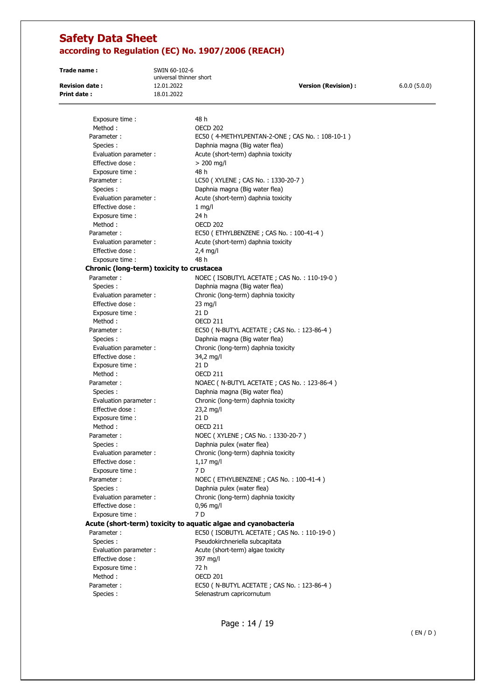**Trade name :** SWIN 60-102-6

universal thinner short **Revision date :** 12.01.2022 **Version (Revision) :** 6.0.0 (5.0.0) **Print date :** 18.01.2022

Exposure time : 48 h Method : 0ECD 202 Parameter : EC50 (4-METHYLPENTAN-2-ONE ; CAS No. : 108-10-1) Species : Daphnia magna (Big water flea) Evaluation parameter : <br>Acute (short-term) daphnia toxicity Effective dose :  $> 200$  mg/l Exposure time : 48 h Parameter : LC50 ( XYLENE ; CAS No. : 1330-20-7 ) Species : Daphnia magna (Big water flea) Evaluation parameter : <br>Acute (short-term) daphnia toxicity Effective dose : 1 mg/l Exposure time : 24 h Method : 0ECD 202 Parameter : EC50 (ETHYLBENZENE ; CAS No. : 100-41-4) Evaluation parameter : <br>Acute (short-term) daphnia toxicity Effective dose : 2,4 mg/l Exposure time : 48 h **Chronic (long-term) toxicity to crustacea**  Parameter : NOEC ( ISOBUTYL ACETATE ; CAS No. : 110-19-0 ) Species : Daphnia magna (Big water flea) Evaluation parameter : Chronic (long-term) daphnia toxicity Effective dose : 23 mg/l Exposure time : 21 D Method : CECD 211 Parameter : EC50 ( N-BUTYL ACETATE ; CAS No. : 123-86-4 ) Species : Daphnia magna (Big water flea) Evaluation parameter : Chronic (long-term) daphnia toxicity Effective dose : 34,2 mg/l Exposure time : 21 D Method : CECD 211 Parameter : NOAEC ( N-BUTYL ACETATE ; CAS No. : 123-86-4 ) Species : Daphnia magna (Big water flea) Evaluation parameter : Chronic (long-term) daphnia toxicity Effective dose : 23,2 mg/l Exposure time : 21 D Method : 0ECD 211 Parameter : NOEC ( XYLENE ; CAS No. : 1330-20-7 ) Species : Daphnia pulex (water flea) Evaluation parameter : Chronic (long-term) daphnia toxicity Effective dose : 1,17 mg/l Exposure time : 7 D Parameter : NOEC (ETHYLBENZENE ; CAS No. : 100-41-4) Species : Daphnia pulex (water flea) Evaluation parameter : Chronic (long-term) daphnia toxicity Effective dose : 0,96 mg/l Exposure time : 7 D **Acute (short-term) toxicity to aquatic algae and cyanobacteria**  Parameter : EC50 ( ISOBUTYL ACETATE ; CAS No. : 110-19-0 ) Species : Pseudokirchneriella subcapitata Evaluation parameter : <br>Acute (short-term) algae toxicity Effective dose : 397 mg/l Exposure time : 72 h Method : OECD 201 Parameter : EC50 ( N-BUTYL ACETATE ; CAS No. : 123-86-4 ) Species : Species : Selenastrum capricornutum

( EN / D )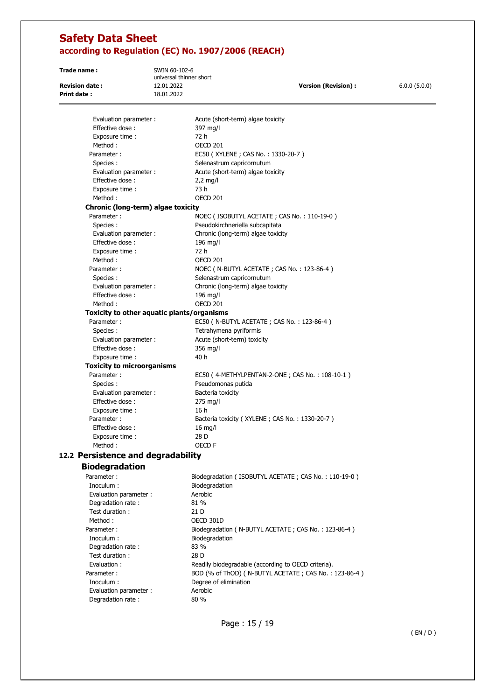**Trade name :** SWIN 60-102-6

universal thinner short **Revision date :** 12.01.2022 **Version (Revision) :** 6.0.0 (5.0.0) **Print date :** 18.01.2022

Evaluation parameter : <br>Acute (short-term) algae toxicity Effective dose : 397 mg/l Exposure time : 72 h Method : 0ECD 201 Parameter : EC50 ( XYLENE ; CAS No. : 1330-20-7 ) Species : Species : Selenastrum capricornutum Evaluation parameter : Acute (short-term) algae toxicity Effective dose : 2,2 mg/l Exposure time : 73 h Method : 0ECD 201 **Chronic (long-term) algae toxicity**  Parameter : NOEC ( ISOBUTYL ACETATE ; CAS No. : 110-19-0 ) Species : Pseudokirchneriella subcapitata Evaluation parameter : Chronic (long-term) algae toxicity Effective dose : 196 mg/l Exposure time : 72 h Method : CECD 201 Parameter : NOEC ( N-BUTYL ACETATE ; CAS No. : 123-86-4 ) Species : Species : Selenastrum capricornutum Evaluation parameter : Chronic (long-term) algae toxicity Effective dose : 196 mg/l Method : 0ECD 201 **Toxicity to other aquatic plants/organisms**  Parameter : EC50 ( N-BUTYL ACETATE ; CAS No. : 123-86-4 ) Species : Tetrahymena pyriformis Evaluation parameter : <br>Acute (short-term) toxicity Effective dose : 356 mg/l Exposure time : 40 h **Toxicity to microorganisms**  Parameter : EC50 (4-METHYLPENTAN-2-ONE ; CAS No. : 108-10-1) Species : Pseudomonas putida Evaluation parameter : Bacteria toxicity Effective dose : 275 mg/l Exposure time : 16 h Parameter : Bacteria toxicity (XYLENE ; CAS No. : 1330-20-7) Effective dose : 16 mg/l Exposure time : 28 D Method : OECD F **12.2 Persistence and degradability Biodegradation**  Parameter : Biodegradation ( ISOBUTYL ACETATE ; CAS No. : 110-19-0 ) Inoculum : Biodegradation Evaluation parameter : Aerobic Degradation rate : 81 % Test duration : 21 D Method : 0ECD 301D Parameter : Biodegradation ( N-BUTYL ACETATE ; CAS No. : 123-86-4 ) Inoculum : Biodegradation Degradation rate : 83 % Test duration : 28 D Evaluation : Readily biodegradable (according to OECD criteria). Parameter : BOD (% of ThOD) ( N-BUTYL ACETATE ; CAS No. : 123-86-4 ) Inoculum : Degree of elimination Evaluation parameter : Aerobic Degradation rate : 80 %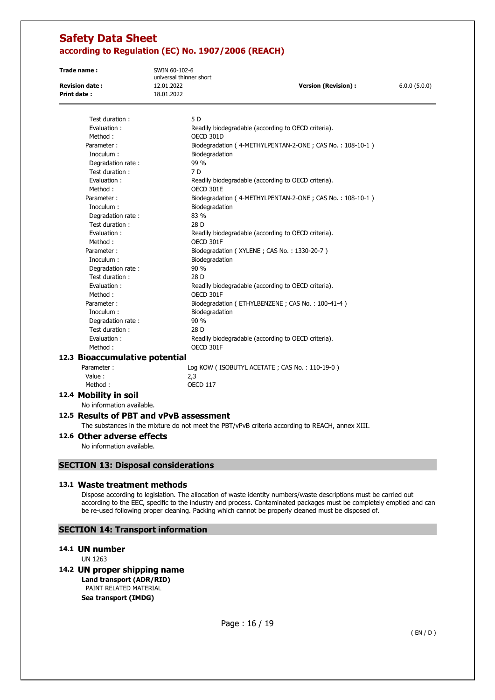Inoculum : Biodegradation

| Trade name:           | SWIN 60-102-6<br>universal thinner short |                                                          |              |
|-----------------------|------------------------------------------|----------------------------------------------------------|--------------|
| <b>Revision date:</b> | 12.01.2022                               | <b>Version (Revision):</b>                               | 6.0.0(5.0.0) |
| Print date:           | 18.01.2022                               |                                                          |              |
| Test duration:        | 5 D                                      |                                                          |              |
| Evaluation:           |                                          | Readily biodegradable (according to OECD criteria).      |              |
| Method:               | OECD 301D                                |                                                          |              |
| Parameter:            |                                          | Biodegradation (4-METHYLPENTAN-2-ONE; CAS No.: 108-10-1) |              |

| Degradation rate:              | 99 %                                                     |
|--------------------------------|----------------------------------------------------------|
| Test duration:                 | 7 D                                                      |
| Evaluation:                    | Readily biodegradable (according to OECD criteria).      |
| Method:                        | OECD 301E                                                |
| Parameter:                     | Biodegradation (4-METHYLPENTAN-2-ONE; CAS No.: 108-10-1) |
| Inoculum:                      | Biodegradation                                           |
| Degradation rate:              | 83 %                                                     |
| Test duration:                 | 28 D                                                     |
| Evaluation:                    | Readily biodegradable (according to OECD criteria).      |
| Method:                        | OECD 301F                                                |
| Parameter:                     | Biodegradation (XYLENE; CAS No.: 1330-20-7)              |
| Inoculum:                      | Biodegradation                                           |
| Degradation rate:              | 90%                                                      |
| Test duration:                 | 28 D                                                     |
| Evaluation:                    | Readily biodegradable (according to OECD criteria).      |
| Method:                        | OECD 301F                                                |
| Parameter:                     | Biodegradation (ETHYLBENZENE; CAS No.: 100-41-4)         |
| Inoculum:                      | Biodegradation                                           |
| Degradation rate:              | 90 %                                                     |
| Test duration:                 | 28 D                                                     |
| Evaluation:                    | Readily biodegradable (according to OECD criteria).      |
| Method:                        | OECD 301F                                                |
| 12.3 Bioaccumulative potential |                                                          |
|                                |                                                          |

Parameter : Log KOW ( ISOBUTYL ACETATE ; CAS No. : 110-19-0 ) Value : 2,3 Method : OECD 117

## **12.4 Mobility in soil**

No information available.

## **12.5 Results of PBT and vPvB assessment**

The substances in the mixture do not meet the PBT/vPvB criteria according to REACH, annex XIII.

**12.6 Other adverse effects** 

No information available.

## **SECTION 13: Disposal considerations**

#### **13.1 Waste treatment methods**

Dispose according to legislation. The allocation of waste identity numbers/waste descriptions must be carried out according to the EEC, specific to the industry and process. Contaminated packages must be completely emptied and can be re-used following proper cleaning. Packing which cannot be properly cleaned must be disposed of.

## **SECTION 14: Transport information**

#### **14.1 UN number**

UN 1263

## **14.2 UN proper shipping name**

**Land transport (ADR/RID)**  PAINT RELATED MATERIAL

**Sea transport (IMDG)**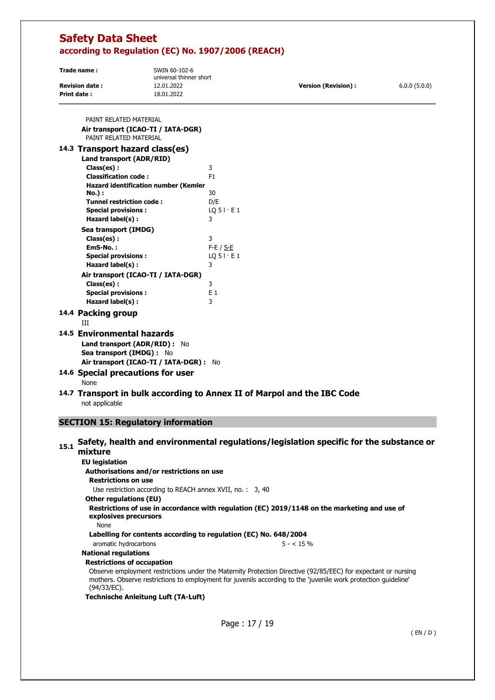| Trade name:           | SWIN 60-102-6<br>universal thinner short |                      |              |
|-----------------------|------------------------------------------|----------------------|--------------|
| <b>Revision date:</b> | 12.01.2022                               | Version (Revision) : | 6.0.0(5.0.0) |
| Print date:           | 18.01.2022                               |                      |              |

| PAINT RELATED MATERIAL                      |                                                                         |
|---------------------------------------------|-------------------------------------------------------------------------|
| Air transport (ICAO-TI / IATA-DGR)          |                                                                         |
| PAINT RELATED MATERIAL                      |                                                                         |
| 14.3 Transport hazard class(es)             |                                                                         |
| Land transport (ADR/RID)                    |                                                                         |
| Class(es):                                  | 3                                                                       |
| <b>Classification code:</b>                 | F <sub>1</sub>                                                          |
| <b>Hazard identification number (Kemler</b> |                                                                         |
| <b>No.</b> ):                               | 30                                                                      |
| <b>Tunnel restriction code:</b>             | D/E                                                                     |
| <b>Special provisions:</b>                  | $LQ$ 5 $\mid$ $\cdot$ E 1                                               |
| Hazard label(s):                            | 3                                                                       |
| Sea transport (IMDG)                        |                                                                         |
| Class(es):                                  | 3                                                                       |
| EmS-No.:                                    | $F-E / S-E$                                                             |
| <b>Special provisions:</b>                  | $LQ$ 5 $\vdots$ E 1                                                     |
| Hazard label(s):                            | 3                                                                       |
| Air transport (ICAO-TI / IATA-DGR)          |                                                                         |
| Class(es):                                  | 3                                                                       |
| <b>Special provisions:</b>                  | E1                                                                      |
| Hazard label(s) :                           | 3                                                                       |
| 14.4 Packing group                          |                                                                         |
| Ш                                           |                                                                         |
| 14.5 Environmental hazards                  |                                                                         |
| Land transport (ADR/RID) : No               |                                                                         |
| Sea transport (IMDG) : No                   |                                                                         |
| Air transport (ICAO-TI / IATA-DGR) : No     |                                                                         |
|                                             |                                                                         |
| 14.6 Special precautions for user           |                                                                         |
| <b>None</b>                                 |                                                                         |
|                                             | 14.7 Transport in bulk according to Annex II of Marpol and the IBC Code |

not applicable

## **SECTION 15: Regulatory information**

### 15.1 Safety, health and environmental regulations/legislation specific for the substance or **mixture EU legislation Authorisations and/or restrictions on use Restrictions on use**  Use restriction according to REACH annex XVII, no. : 3, 40 **Other regulations (EU) Restrictions of use in accordance with regulation (ЕС) 2019/1148 on the marketing and use of explosives precursors**  None **Labelling for contents according to regulation (EC) No. 648/2004**  aromatic hydrocarbons 5 - < 15 % **National regulations Restrictions of occupation**  Observe employment restrictions under the Maternity Protection Directive (92/85/EEC) for expectant or nursing mothers. Observe restrictions to employment for juvenils according to the 'juvenile work protection guideline' (94/33/EC). **Technische Anleitung Luft (TA-Luft)**

Page : 17 / 19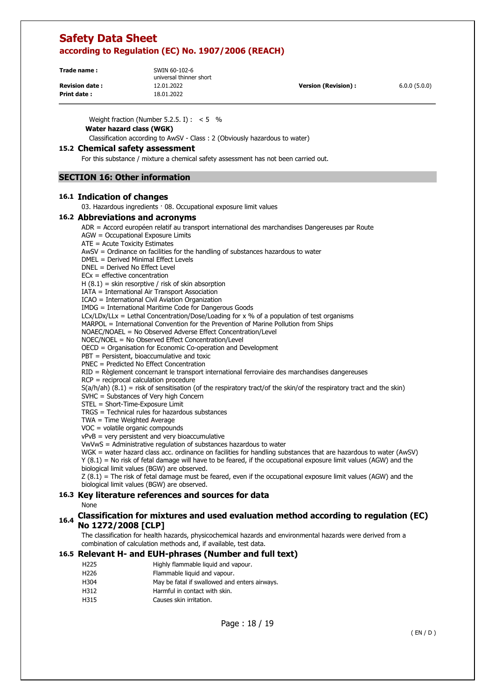| Trade name:           | SWIN 60-102-6<br>universal thinner short |                      |              |
|-----------------------|------------------------------------------|----------------------|--------------|
| <b>Revision date:</b> | 12.01.2022                               | Version (Revision) : | 6.0.0(5.0.0) |
| <b>Print date:</b>    | 18.01.2022                               |                      |              |

Weight fraction (Number 5.2.5. I) :  $< 5$  %

**Water hazard class (WGK)** 

Classification according to AwSV - Class : 2 (Obviously hazardous to water)

### **15.2 Chemical safety assessment**

For this substance / mixture a chemical safety assessment has not been carried out.

## **SECTION 16: Other information**

## **16.1 Indication of changes**

03. Hazardous ingredients · 08. Occupational exposure limit values

#### **16.2 Abbreviations and acronyms**

ADR = Accord européen relatif au transport international des marchandises Dangereuses par Route

AGW = Occupational Exposure Limits

ATE = Acute Toxicity Estimates

AwSV = Ordinance on facilities for the handling of substances hazardous to water

DMEL = Derived Minimal Effect Levels

DNEL = Derived No Effect Level

 $ECx = effective concentration$ 

 $H (8.1) =$  skin resorptive / risk of skin absorption

IATA = International Air Transport Association

ICAO = International Civil Aviation Organization

IMDG = International Maritime Code for Dangerous Goods

 $LCx/LDx/LLx = Lethal Concentration/Dose/Loading for x % of a population of test organisms$ 

MARPOL = International Convention for the Prevention of Marine Pollution from Ships

NOAEC/NOAEL = No Observed Adverse Effect Concentration/Level

NOEC/NOEL = No Observed Effect Concentration/Level

OECD = Organisation for Economic Co-operation and Development

PBT = Persistent, bioaccumulative and toxic

PNEC = Predicted No Effect Concentration

RID = Règlement concernant le transport international ferroviaire des marchandises dangereuses

RCP = reciprocal calculation procedure

 $S(a/h/ah)$   $(8.1)$  = risk of sensitisation (of the respiratory tract/of the skin/of the respiratory tract and the skin)

SVHC = Substances of Very high Concern

STEL = Short-Time-Exposure Limit

TRGS = Technical rules for hazardous substances

TWA = Time Weighted Average

VOC = volatile organic compounds

vPvB = very persistent and very bioaccumulative

VwVwS = Administrative regulation of substances hazardous to water

WGK = water hazard class acc. ordinance on facilities for handling substances that are hazardous to water (AwSV) Y (8.1) = No risk of fetal damage will have to be feared, if the occupational exposure limit values (AGW) and the biological limit values (BGW) are observed.

 $Z(8.1)$  = The risk of fetal damage must be feared, even if the occupational exposure limit values (AGW) and the biological limit values (BGW) are observed.

## **16.3 Key literature references and sources for data**

None

## **16.4 Classification for mixtures and used evaluation method according to regulation (EC) No 1272/2008 [CLP]**

The classification for health hazards, physicochemical hazards and environmental hazards were derived from a combination of calculation methods and, if available, test data.

## **16.5 Relevant H- and EUH-phrases (Number and full text)**

- H225 Highly flammable liquid and vapour.
- H226 Flammable liquid and vapour.
- H304 May be fatal if swallowed and enters airways.
- H312 Harmful in contact with skin.
- H315 Causes skin irritation.